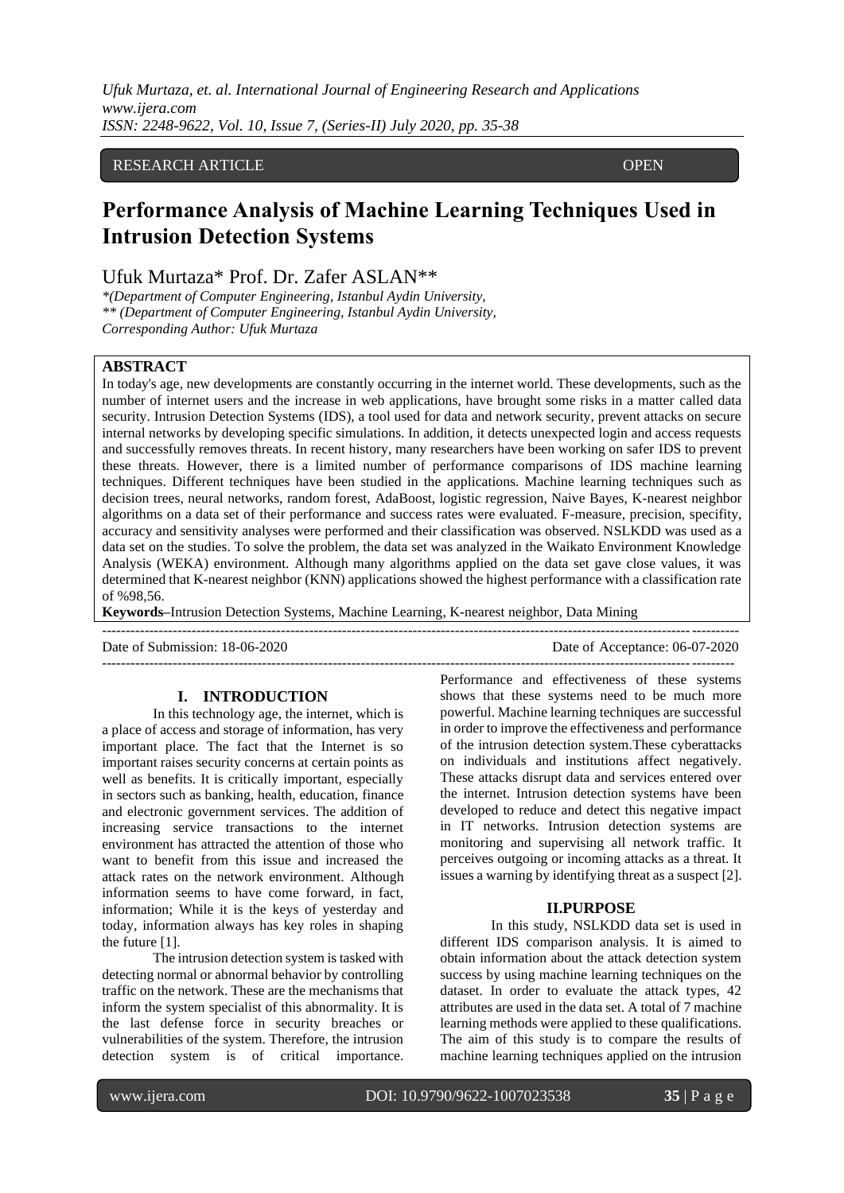*Ufuk Murtaza, et. al. International Journal of Engineering Research and Applications www.ijera.com ISSN: 2248-9622, Vol. 10, Issue 7, (Series-II) July 2020, pp. 35-38*

## RESEARCH ARTICLE **COPEN**

# **Performance Analysis of Machine Learning Techniques Used in Intrusion Detection Systems**

## Ufuk Murtaza\* Prof. Dr. Zafer ASLAN\*\*

*\*(Department of Computer Engineering, Istanbul Aydin University, \*\* (Department of Computer Engineering, Istanbul Aydin University, Corresponding Author: Ufuk Murtaza*

## **ABSTRACT**

ACCESS

In today's age, new developments are constantly occurring in the internet world. These developments, such as the number of internet users and the increase in web applications, have brought some risks in a matter called data security. Intrusion Detection Systems (IDS), a tool used for data and network security, prevent attacks on secure internal networks by developing specific simulations. In addition, it detects unexpected login and access requests and successfully removes threats. In recent history, many researchers have been working on safer IDS to prevent these threats. However, there is a limited number of performance comparisons of IDS machine learning techniques. Different techniques have been studied in the applications. Machine learning techniques such as decision trees, neural networks, random forest, AdaBoost, logistic regression, Naive Bayes, K-nearest neighbor algorithms on a data set of their performance and success rates were evaluated. F-measure, precision, specifity, accuracy and sensitivity analyses were performed and their classification was observed. NSLKDD was used as a data set on the studies. To solve the problem, the data set was analyzed in the Waikato Environment Knowledge Analysis (WEKA) environment. Although many algorithms applied on the data set gave close values, it was determined that K-nearest neighbor (KNN) applications showed the highest performance with a classification rate of %98,56.

**Keywords–**Intrusion Detection Systems, Machine Learning, K-nearest neighbor, Data Mining

| Date of Submission: 18-06-2020 | Date of Acceptance: 06-07-2020 |
|--------------------------------|--------------------------------|
|                                |                                |

#### **I. INTRODUCTION**

In this technology age, the internet, which is a place of access and storage of information, has very important place. The fact that the Internet is so important raises security concerns at certain points as well as benefits. It is critically important, especially in sectors such as banking, health, education, finance and electronic government services. The addition of increasing service transactions to the internet environment has attracted the attention of those who want to benefit from this issue and increased the attack rates on the network environment. Although information seems to have come forward, in fact, information; While it is the keys of yesterday and today, information always has key roles in shaping the future [1].

The intrusion detection system is tasked with detecting normal or abnormal behavior by controlling traffic on the network. These are the mechanisms that inform the system specialist of this abnormality. It is the last defense force in security breaches or vulnerabilities of the system. Therefore, the intrusion detection system is of critical importance.

Performance and effectiveness of these systems shows that these systems need to be much more powerful. Machine learning techniques are successful in order to improve the effectiveness and performance of the intrusion detection system.These cyberattacks on individuals and institutions affect negatively. These attacks disrupt data and services entered over the internet. Intrusion detection systems have been developed to reduce and detect this negative impact in IT networks. Intrusion detection systems are monitoring and supervising all network traffic. It perceives outgoing or incoming attacks as a threat. It issues a warning by identifying threat as a suspect [2].

#### **II.PURPOSE**

In this study, NSLKDD data set is used in different IDS comparison analysis. It is aimed to obtain information about the attack detection system success by using machine learning techniques on the dataset. In order to evaluate the attack types, 42 attributes are used in the data set. A total of 7 machine learning methods were applied to these qualifications. The aim of this study is to compare the results of machine learning techniques applied on the intrusion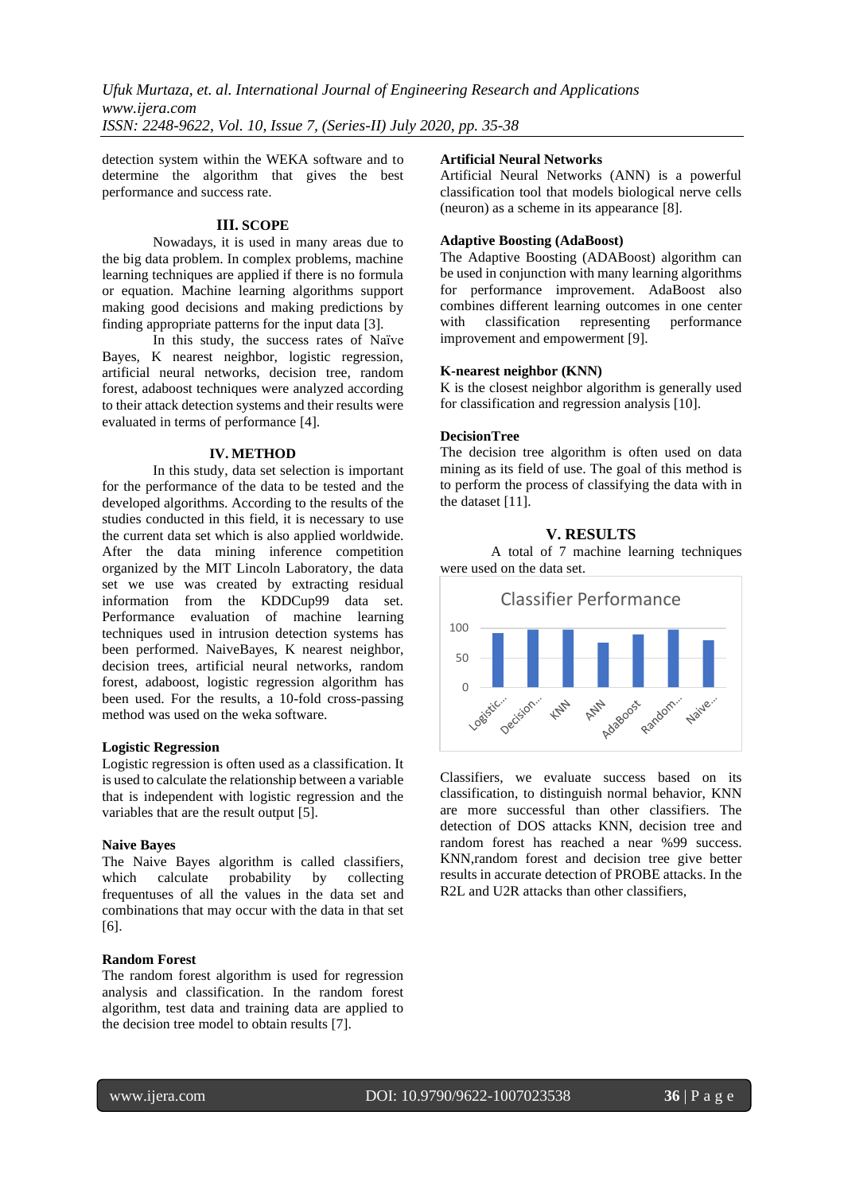detection system within the WEKA software and to determine the algorithm that gives the best performance and success rate.

#### **III. SCOPE**

Nowadays, it is used in many areas due to the big data problem. In complex problems, machine learning techniques are applied if there is no formula or equation. Machine learning algorithms support making good decisions and making predictions by finding appropriate patterns for the input data [3].

In this study, the success rates of Naïve Bayes, K nearest neighbor, logistic regression, artificial neural networks, decision tree, random forest, adaboost techniques were analyzed according to their attack detection systems and their results were evaluated in terms of performance [4].

#### **IV. METHOD**

In this study, data set selection is important for the performance of the data to be tested and the developed algorithms. According to the results of the studies conducted in this field, it is necessary to use the current data set which is also applied worldwide. After the data mining inference competition organized by the MIT Lincoln Laboratory, the data set we use was created by extracting residual information from the KDDCup99 data set. Performance evaluation of machine learning techniques used in intrusion detection systems has been performed. NaiveBayes, K nearest neighbor, decision trees, artificial neural networks, random forest, adaboost, logistic regression algorithm has been used. For the results, a 10-fold cross-passing method was used on the weka software.

#### **Logistic Regression**

Logistic regression is often used as a classification. It is used to calculate the relationship between a variable that is independent with logistic regression and the variables that are the result output [5].

#### **Naive Bayes**

The Naive Bayes algorithm is called classifiers, which calculate probability by collecting frequentuses of all the values in the data set and combinations that may occur with the data in that set [6].

## **Random Forest**

The random forest algorithm is used for regression analysis and classification. In the random forest algorithm, test data and training data are applied to the decision tree model to obtain results [7].

#### **Artificial Neural Networks**

Artificial Neural Networks (ANN) is a powerful classification tool that models biological nerve cells (neuron) as a scheme in its appearance [8].

#### **Adaptive Boosting (AdaBoost)**

The Adaptive Boosting (ADABoost) algorithm can be used in conjunction with many learning algorithms for performance improvement. AdaBoost also combines different learning outcomes in one center with classification representing performance improvement and empowerment [9].

#### **K-nearest neighbor (KNN)**

K is the closest neighbor algorithm is generally used for classification and regression analysis [10].

#### **DecisionTree**

The decision tree algorithm is often used on data mining as its field of use. The goal of this method is to perform the process of classifying the data with in the dataset [11].

## **V. RESULTS**

A total of 7 machine learning techniques were used on the data set.



Classifiers, we evaluate success based on its classification, to distinguish normal behavior, KNN are more successful than other classifiers. The detection of DOS attacks KNN, decision tree and random forest has reached a near %99 success. KNN,random forest and decision tree give better results in accurate detection of PROBE attacks. In the R<sub>2</sub>L and U<sub>2</sub>R attacks than other classifiers,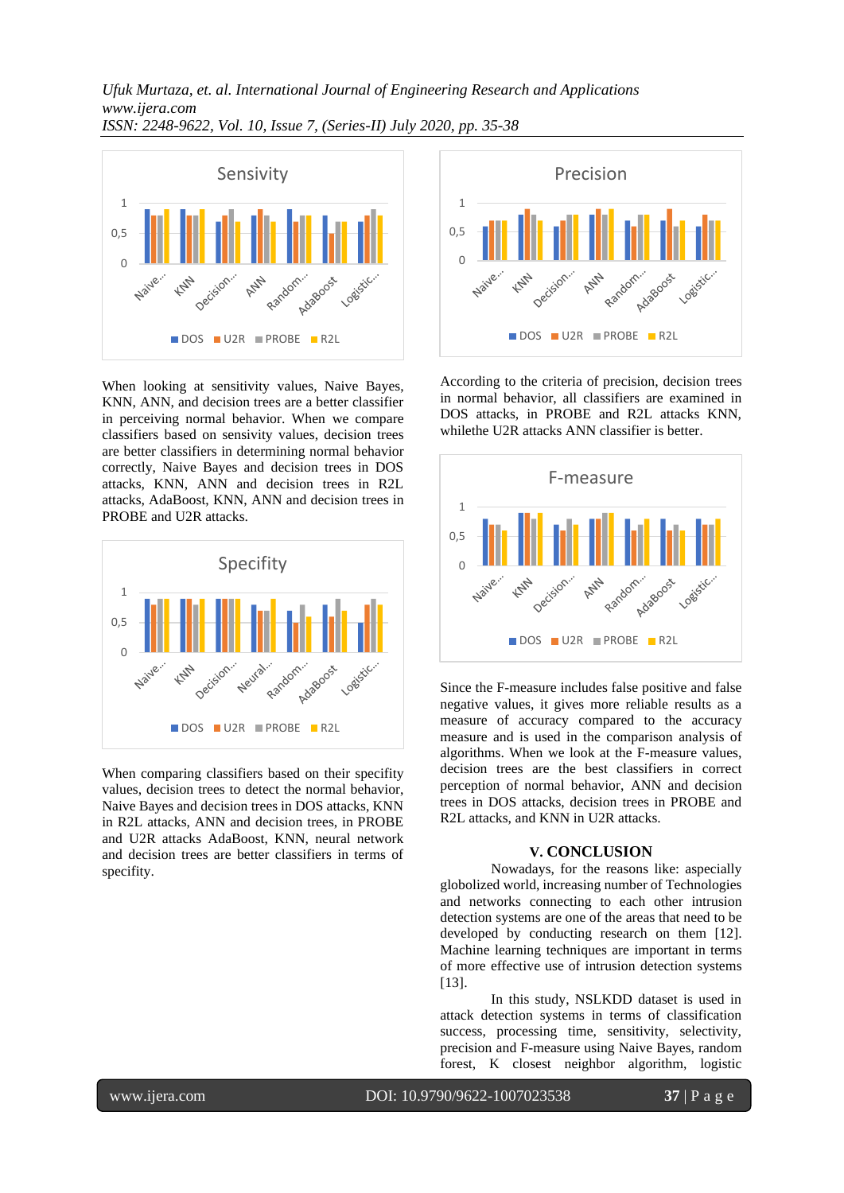*Ufuk Murtaza, et. al. International Journal of Engineering Research and Applications www.ijera.com ISSN: 2248-9622, Vol. 10, Issue 7, (Series-II) July 2020, pp. 35-38*



When looking at sensitivity values, Naive Bayes, KNN, ANN, and decision trees are a better classifier in perceiving normal behavior. When we compare classifiers based on sensivity values, decision trees are better classifiers in determining normal behavior correctly, Naive Bayes and decision trees in DOS attacks, KNN, ANN and decision trees in R2L attacks, AdaBoost, KNN, ANN and decision trees in PROBE and U2R attacks.



When comparing classifiers based on their specifity values, decision trees to detect the normal behavior, Naive Bayes and decision trees in DOS attacks, KNN in R2L attacks, ANN and decision trees, in PROBE and U2R attacks AdaBoost, KNN, neural network and decision trees are better classifiers in terms of specifity.



According to the criteria of precision, decision trees in normal behavior, all classifiers are examined in DOS attacks, in PROBE and R2L attacks KNN, whilethe U2R attacks ANN classifier is better.



Since the F-measure includes false positive and false negative values, it gives more reliable results as a measure of accuracy compared to the accuracy measure and is used in the comparison analysis of algorithms. When we look at the F-measure values, decision trees are the best classifiers in correct perception of normal behavior, ANN and decision trees in DOS attacks, decision trees in PROBE and R2L attacks, and KNN in U2R attacks.

#### **V. CONCLUSION**

Nowadays, for the reasons like: aspecially globolized world, increasing number of Technologies and networks connecting to each other intrusion detection systems are one of the areas that need to be developed by conducting research on them [12]. Machine learning techniques are important in terms of more effective use of intrusion detection systems [13].

In this study, NSLKDD dataset is used in attack detection systems in terms of classification success, processing time, sensitivity, selectivity, precision and F-measure using Naive Bayes, random forest, K closest neighbor algorithm, logistic

www.ijera.com DOI: 10.9790/9622-1007023538 **37** | P a g e